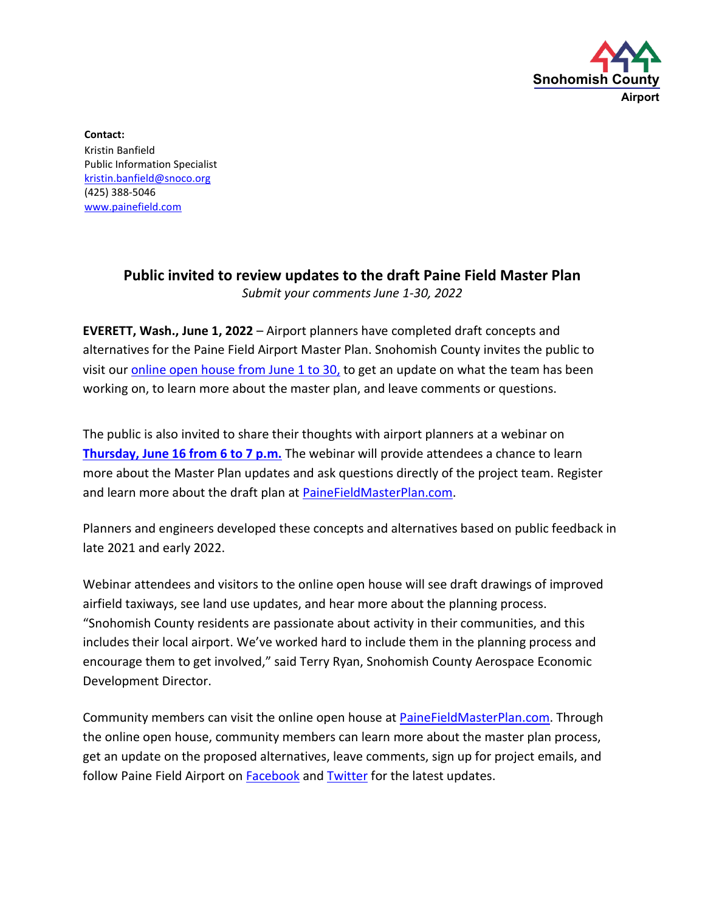

**Contact:** Kristin Banfield Public Information Specialist [kristin.banfield@snoco.org](mailto:kristin.banfield@snoco.org) (425) 388-5046 [www.painefield.com](http://www.painefield.com/)

## **Public invited to review updates to the draft Paine Field Master Plan**  *Submit your comments June 1-30, 2022*

**EVERETT, Wash., June 1, 2022** – Airport planners have completed draft concepts and alternatives for the Paine Field Airport Master Plan. Snohomish County invites the public to visit our [online open house](https://www.painefieldmasterplan.com/#overview) from June 1 to 30, to get an update on what the team has been working on, to learn more about the master plan, and leave comments or questions.

The public is also invited to share their thoughts with airport planners at a webinar on **[Thursday, June 16 from 6 to 7 p.m.](https://us02web.zoom.us/webinar/register/WN_xlSB6gTFT-WKB4xhdtJgpw)** The webinar will provide attendees a chance to learn more about the Master Plan updates and ask questions directly of the project team. Register and learn more about the draft plan at [PaineFieldMasterPlan.com.](http://www.painefieldmasterplan.com/)

Planners and engineers developed these concepts and alternatives based on public feedback in late 2021 and early 2022.

Webinar attendees and visitors to the online open house will see draft drawings of improved airfield taxiways, see land use updates, and hear more about the planning process. "Snohomish County residents are passionate about activity in their communities, and this includes their local airport. We've worked hard to include them in the planning process and encourage them to get involved," said Terry Ryan, Snohomish County Aerospace Economic Development Director.

Community members can visit the online open house at [PaineFieldMasterPlan.com.](http://www.painefieldmasterplan.com/) Through the online open house, community members can learn more about the master plan process, get an update on the proposed alternatives, leave comments, sign up for project emails, and follow Paine Field Airport on **Facebook** and **Twitter** for the latest updates.